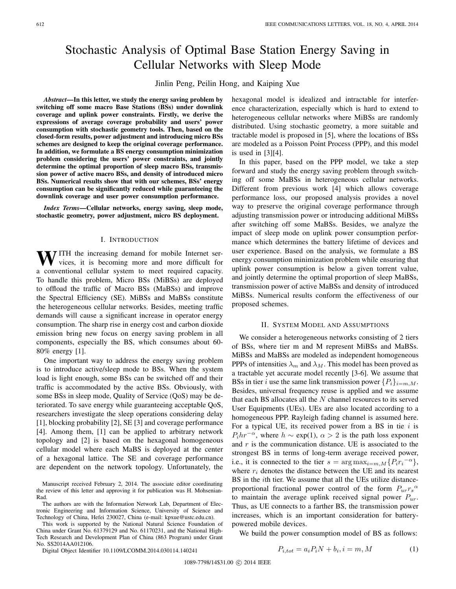# Stochastic Analysis of Optimal Base Station Energy Saving in Cellular Networks with Sleep Mode

Jinlin Peng, Peilin Hong, and Kaiping Xue

*Abstract***—In this letter, we study the energy saving problem by switching off some macro Base Stations (BSs) under downlink coverage and uplink power constraints. Firstly, we derive the expressions of average coverage probability and users' power consumption with stochastic geometry tools. Then, based on the closed-form results, power adjustment and introducing micro BSs schemes are designed to keep the original coverage performance. In addition, we formulate a BS energy consumption minimization problem considering the users' power constraints, and jointly determine the optimal proportion of sleep macro BSs, transmission power of active macro BSs, and density of introduced micro BSs. Numerical results show that with our schemes, BSs' energy consumption can be significantly reduced while guaranteeing the downlink coverage and user power consumption performance.**

*Index Terms***—Cellular networks, energy saving, sleep mode, stochastic geometry, power adjustment, micro BS deployment.**

#### I. INTRODUCTION

**W**ITH the increasing demand for mobile Internet services, it is becoming more and more difficult for a conventional cellular system to meet required capacity. To handle this problem, Micro BSs (MiBSs) are deployed to offload the traffic of Macro BSs (MaBSs) and improve the Spectral Efficiency (SE). MiBSs and MaBSs constitute the heterogeneous cellular networks. Besides, meeting traffic demands will cause a significant increase in operator energy consumption. The sharp rise in energy cost and carbon dioxide emission bring new focus on energy saving problem in all components, especially the BS, which consumes about 60- 80% energy [1].

One important way to address the energy saving problem is to introduce active/sleep mode to BSs. When the system load is light enough, some BSs can be switched off and their traffic is accommodated by the active BSs. Obviously, with some BSs in sleep mode, Quality of Service (QoS) may be deteriorated. To save energy while guaranteeing acceptable QoS, researchers investigate the sleep operations considering delay [1], blocking probability [2], SE [3] and coverage performance [4]. Among them, [1] can be applied to arbitrary network topology and [2] is based on the hexagonal homogeneous cellular model where each MaBS is deployed at the center of a hexagonal lattice. The SE and coverage performance are dependent on the network topology. Unfortunately, the

Manuscript received February 2, 2014. The associate editor coordinating the review of this letter and approving it for publication was H. Mohsenian-Rad.

The authors are with the Information Network Lab, Department of Electronic Engineering and Information Science, University of Science and Technology of China, Hefei 230027, China (e-mail: kpxue@ustc.edu.cn).

This work is supported by the National Natural Science Foundation of China under Grant No. 61379129 and No. 61170231, and the National High-Tech Research and Development Plan of China (863 Program) under Grant No. SS2014AA012106.

Digital Object Identifier 10.1109/LCOMM.2014.030114.140241

hexagonal model is idealized and intractable for interference characterization, especially which is hard to extend to heterogeneous cellular networks where MiBSs are randomly distributed. Using stochastic geometry, a more suitable and tractable model is proposed in [5], where the locations of BSs are modeled as a Poisson Point Process (PPP), and this model is used in [3][4].

In this paper, based on the PPP model, we take a step forward and study the energy saving problem through switching off some MaBSs in heterogeneous cellular networks. Different from previous work [4] which allows coverage performance loss, our proposed analysis provides a novel way to preserve the original coverage performance through adjusting transmission power or introducing additional MiBSs after switching off some MaBSs. Besides, we analyze the impact of sleep mode on uplink power consumption performance which determines the battery lifetime of devices and user experience. Based on the analysis, we formulate a BS energy consumption minimization problem while ensuring that uplink power consumption is below a given torrent value, and jointly determine the optimal proportion of sleep MaBSs, transmission power of active MaBSs and density of introduced MiBSs. Numerical results conform the effectiveness of our proposed schemes.

#### II. SYSTEM MODEL AND ASSUMPTIONS

We consider a heterogeneous networks consisting of 2 tiers of BSs, where tier m and M represent MiBSs and MaBSs. MiBSs and MaBSs are modeled as independent homogeneous PPPs of intensities  $\lambda_m$  and  $\lambda_M$ . This model has been proved as a tractable yet accurate model recently [3-6]. We assume that BSs in tier i use the same link transmission power  $\{P_i\}_{i=m,M}$ . Besides, universal frequency reuse is applied and we assume that each BS allocates all the  $N$  channel resources to its served User Equipments (UEs). UEs are also located according to a homogeneous PPP. Rayleigh fading channel is assumed here. For a typical UE, its received power from a BS in tie  $i$  is  $P_i h r^{-\alpha}$ , where  $h \sim \exp(1)$ ,  $\alpha > 2$  is the path loss exponent and  $r$  is the communication distance. UE is associated to the strongest BS in terms of long-term average received power, i.e., it is connected to the tier  $s = \arg \max_{i=m,M} \{P_i r_i^{-\alpha}\}$ , where r, denotes the distance between the UE and its pearest where  $r_i$  denotes the distance between the UE and its nearest BS in the *i*th tier. We assume that all the UEs utilize distanceproportional fractional power control of the form  $P_{ur}r_s^{\alpha}$ to maintain the average uplink received signal power  $P_{ur}$ . Thus, as UE connects to a farther BS, the transmission power increases, which is an important consideration for batterypowered mobile devices.

We build the power consumption model of BS as follows:

$$
P_{i,tot} = a_i P_i N + b_i, i = m, M \tag{1}
$$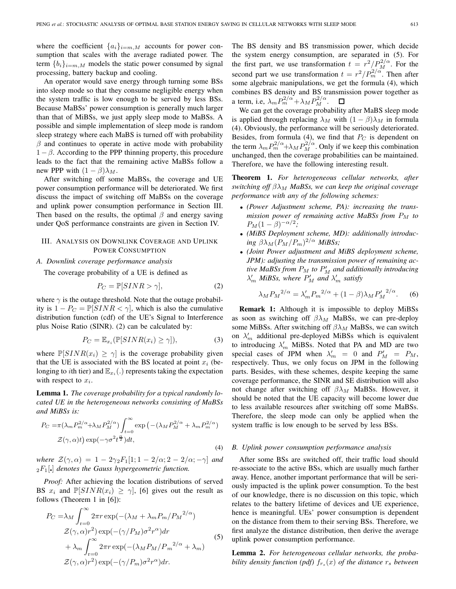where the coefficient  $\{a_i\}_{i=m,M}$  accounts for power consumption that scales with the average radiated power. The term  ${b_i}_{i=m,M}$  models the static power consumed by signal processing, battery backup and cooling.

An operator would save energy through turning some BSs into sleep mode so that they consume negligible energy when the system traffic is low enough to be served by less BSs. Because MaBSs' power consumption is generally much larger than that of MiBSs, we just apply sleep mode to MaBSs. A possible and simple implementation of sleep mode is random sleep strategy where each MaBS is turned off with probability  $\beta$  and continues to operate in active mode with probability  $1-\beta$ . According to the PPP thinning property, this procedure leads to the fact that the remaining active MaBSs follow a new PPP with  $(1 - \beta)\lambda_M$ .

After switching off some MaBSs, the coverage and UE power consumption performance will be deteriorated. We first discuss the impact of switching off MaBSs on the coverage and uplink power consumption performance in Section III. Then based on the results, the optimal  $\beta$  and energy saving under QoS performance constraints are given in Section IV.

# III. ANALYSIS ON DOWNLINK COVERAGE AND UPLINK POWER CONSUMPTION

## *A. Downlink coverage performance analysis*

The coverage probability of a UE is defined as

$$
P_C = \mathbb{P}[SINR > \gamma],\tag{2}
$$

where  $\gamma$  is the outage threshold. Note that the outage probability is  $1 - P_C = \mathbb{P}[SINR < \gamma]$ , which is also the cumulative distribution function (cdf) of the UE's Signal to Interference plus Noise Ratio (SINR). (2) can be calculated by:

$$
P_C = \mathbb{E}_{x_i}(\mathbb{P}[SINR(x_i) \ge \gamma]),\tag{3}
$$

where  $\mathbb{P}[SINR(x_i) \geq \gamma]$  is the coverage probability given that the UE is associated with the BS located at point  $x_i$  (belonging to *i*th tier) and  $\mathbb{E}_{x_i}(.)$  represents taking the expectation with respect to  $x_i$ .

**Lemma 1.** *The coverage probability for a typical randomly located UE in the heterogeneous networks consisting of MaBSs and MiBSs is:*

$$
P_C = \pi(\lambda_m P_m^{2/\alpha} + \lambda_M P_M^{2/\alpha}) \int_{t=0}^{\infty} \exp\left(-(\lambda_M P_M^{2/\alpha} + \lambda_m P_m^{2/\alpha})\right)
$$

$$
\mathcal{Z}(\gamma, \alpha)t\right) \exp\left(-\gamma \sigma^2 t^{\frac{\alpha}{2}}\right) dt,
$$
(4)

*where*  $\mathcal{Z}(\gamma, \alpha) = 1 - 2\gamma_2 F_1[1; 1 - 2/\alpha; 2 - 2/\alpha; -\gamma]$  *and* <sup>2</sup>F<sup>1</sup>[-] *denotes the Gauss hypergeometric function.*

*Proof:* After achieving the location distributions of served BS  $x_i$  and  $\mathbb{P}[SINR(x_i) \geq \gamma]$ , [6] gives out the result as follows (Theorem 1 in [6]):

$$
P_C = \lambda_M \int_{r=0}^{\infty} 2\pi r \exp(-(\lambda_M + \lambda_m P_m / P_M^{2/\alpha}))
$$
  
\n
$$
\mathcal{Z}(\gamma, \alpha)r^2) \exp(-(\gamma / P_M)\sigma^2 r^{\alpha})dr
$$
  
\n
$$
+ \lambda_m \int_{r=0}^{\infty} 2\pi r \exp(-(\lambda_M P_M / P_m^{2/\alpha} + \lambda_m))
$$
  
\n
$$
\mathcal{Z}(\gamma, \alpha)r^2) \exp(-(\gamma / P_m)\sigma^2 r^{\alpha})dr.
$$
\n(5)

The BS density and BS transmission power, which decide the system energy consumption, are separated in (5). For the first part, we use transformation  $t = r^2/P_M^{2/\alpha}$ . For the second next we use transformation  $t = \alpha^2/P_M^{2/\alpha}$ . Then often second part we use transformation  $t = r^2 / P_m^{2/\alpha}$ . Then after some algebraic manipulations we get the formula (4) which some algebraic manipulations, we get the formula (4), which combines BS density and BS transmission power together as a term, i.e,  $\lambda_m P_m^{2/\alpha} + \lambda_M P_M^{2/\alpha}$ .<br>We can get the coverage prob- $\Box$ 

We can get the coverage probability after MaBS sleep mode is applied through replacing  $\lambda_M$  with  $(1 - \beta)\lambda_M$  in formula (4). Obviously, the performance will be seriously deteriorated. Besides, from formula (4), we find that  $P_C$  is dependent on the term  $\lambda_m P_m^{2/\alpha} + \lambda_M P_M^{2/\alpha}$ . Only if we keep this combination<br>unchanged, then the coverage probabilities can be maintained unchanged, then the coverage probabilities can be maintained. Therefore, we have the following interesting result.

**Theorem 1.** *For heterogeneous cellular networks, after switching off*  $\beta \lambda_M$  *MaBSs, we can keep the original coverage performance with any of the following schemes:*

- *(Power Adjustment scheme, PA): increasing the transmission power of remaining active MaBSs from*  $P_M$  to  $P_M(1-\beta)^{-\alpha/2};$
- *(MiBS Deployment scheme, MD): additionally introducing*  $\beta \lambda_M (P_M/P_m)^{2/\alpha}$  *MiBSs*;
- *(Joint Power adjustment and MiBS deployment scheme, JPM): adjusting the transmission power of remaining active MaBSs from*  $P_M$  *to*  $P'_M$  *and additionally introducing*  $\lambda'_m$  MiBSs, where  $P'_M$  and  $\lambda'_m$  satisfy

$$
\lambda_M P_M^{2/\alpha} = \lambda'_m P_m^{2/\alpha} + (1 - \beta)\lambda_M P_M^{2/\alpha}.
$$
 (6)

**Remark 1:** Although it is impossible to deploy MiBSs as soon as switching off  $\beta \lambda_M$  MaBSs, we can pre-deploy some MiBSs. After switching off  $\beta \lambda_M$  MaBSs, we can switch on  $\lambda'_m$  additional pre-deployed MiBSs which is equivalent to introducing  $\lambda'_m$  MiBSs. Noted that PA and MD are two special cases of JPM when  $\lambda'_m = 0$  and  $P'_M = P_M$ ,<br>respectively. Thus we only focus on IPM in the following respectively. Thus, we only focus on JPM in the following parts. Besides, with these schemes, despite keeping the same coverage performance, the SINR and SE distribution will also not change after switching off  $\beta \lambda_M$  MaBSs. However, it should be noted that the UE capacity will become lower due to less available resources after switching off some MaBSs. Therefore, the sleep mode can only be applied when the system traffic is low enough to be served by less BSs.

#### *B. Uplink power consumption performance analysis*

After some BSs are switched off, their traffic load should re-associate to the active BSs, which are usually much farther away. Hence, another important performance that will be seriously impacted is the uplink power consumption. To the best of our knowledge, there is no discussion on this topic, which relates to the battery lifetime of devices and UE experience, hence is meaningful. UEs' power consumption is dependent on the distance from them to their serving BSs. Therefore, we first analyze the distance distribution, then derive the average uplink power consumption performance.

**Lemma 2.** *For heterogeneous cellular networks, the probability density function (pdf)*  $f_{r_s}(x)$  *of the distance*  $r_s$  *between*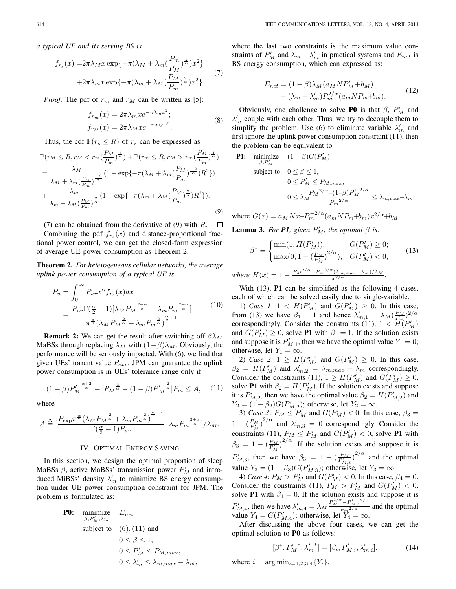*a typical UE and its serving BS is*

$$
f_{r_s}(x) = 2\pi \lambda_M x \exp\{-\pi (\lambda_M + \lambda_m (\frac{P_m}{P_M})^{\frac{2}{\alpha}})x^2\}
$$
  
+2\pi \lambda\_m x \exp\{-\pi (\lambda\_m + \lambda\_M (\frac{P\_M}{P\_m})^{\frac{2}{\alpha}})x^2\}. (7)

*Proof:* The pdf of  $r_m$  and  $r_M$  can be written as [5]:

$$
f_{r_m}(x) = 2\pi \lambda_m x e^{-\pi \lambda_m x^2};
$$
  
\n
$$
f_{r_M}(x) = 2\pi \lambda_M x e^{-\pi \lambda_M x^2}.
$$
\n(8)

Thus, the cdf  $\mathbb{P}(r_s \leq R)$  of  $r_s$  can be expressed as

$$
\mathbb{P}(r_M \leq R, r_M < r_m \left(\frac{P_M}{P_m}\right)^{\frac{1}{\alpha}}) + \mathbb{P}(r_m \leq R, r_M > r_m \left(\frac{P_M}{P_m}\right)^{\frac{1}{\alpha}})
$$
\n
$$
= \frac{\lambda_M}{\lambda_M + \lambda_m \left(\frac{P_M}{P_m}\right)^{\frac{-2}{\alpha}}} (1 - \exp\{-\pi(\lambda_M + \lambda_m \left(\frac{P_M}{P_m}\right)^{\frac{-2}{\alpha}})R^2\})
$$
\n
$$
+ \frac{\lambda_m}{\lambda_m + \lambda_M \left(\frac{P_M}{P_m}\right)^{\frac{2}{\alpha}}} (1 - \exp\{-\pi(\lambda_m + \lambda_M \left(\frac{P_M}{P_m}\right)^{\frac{2}{\alpha}})R^2\}).
$$
\n(9)

(7) can be obtained from the derivative of (9) with  $R$ .  $\Box$ Combining the pdf  $f_{r_s}(x)$  and distance-proportional fractional power control, we can get the closed-form expression of average UE power consumption as Theorem 2.

**Theorem 2.** *For heterogeneous cellular networks, the average uplink power consumption of a typical UE is*

$$
P_u = \int_0^\infty P_{ur} x^\alpha f_{r_s}(x) dx
$$
  
= 
$$
\frac{P_{ur} \Gamma(\frac{\alpha}{2} + 1) [\lambda_M P_M^{\frac{2+\alpha}{\alpha}} + \lambda_m P_m^{\frac{2+\alpha}{\alpha}}]}{\pi^{\frac{\alpha}{2}} (\lambda_M P_M^{\frac{2}{\alpha}} + \lambda_m P_m^{\frac{2}{\alpha}})^{\frac{\alpha}{2} + 1}}.
$$
 (10)

**Remark 2:** We can get the result after switching off  $\beta \lambda_M$ MaBSs through replacing  $\lambda_M$  with  $(1-\beta)\lambda_M$ . Obviously, the performance will be seriously impacted. With (6), we find that given UEs' torrent value  $P_{exp}$ , JPM can guarantee the uplink power consumption is in UEs' tolerance range only if

$$
(1 - \beta)P'_M^{\frac{\alpha + 2}{\alpha}} + [P_M^{\frac{2}{\alpha}} - (1 - \beta)P'_M^{\frac{2}{\alpha}}]P_m \le A, \quad (11)
$$

where

$$
A \stackrel{\Delta}{=} \left[ \frac{P_{\exp} \pi^{\frac{\alpha}{2}} (\lambda_M P_M^{\frac{2}{\alpha}} + \lambda_m P_m^{\frac{2}{\alpha}})^{\frac{\alpha}{2}+1}}{\Gamma(\frac{\alpha}{2}+1) P_{ur}} - \lambda_m P_m^{\frac{2+\alpha}{\alpha}} \right] / \lambda_M.
$$

#### IV. OPTIMAL ENERGY SAVING

In this section, we design the optimal proportion of sleep MaBSs  $\beta$ , active MaBSs' transmission power  $P'_M$  and introduced MiBSs' density  $\lambda'_m$  to minimize BS energy consumption under UE power consumption constraint for JPM. The problem is formulated as:

**P0:** minimize 
$$
E_{net}
$$
  
\nsubject to (6), (11) and  
\n $0 \le \beta \le 1$ ,  
\n $0 \le P'_M \le P_{M,max}$ ,  
\n $0 \le \lambda'_m \le \lambda_{m,max} - \lambda_m$ ,

where the last two constraints is the maximum value constraints of  $P_M'$  and  $\lambda_m + \lambda'_m$  in practical systems and  $E_{net}$  is<br>RS energy consumption, which can expressed as: BS energy consumption, which can expressed as:

$$
E_{net} = (1 - \beta)\lambda_M (a_M N P'_M + b_M)
$$
  
+ 
$$
(\lambda_m + \lambda'_m) P_m^{2/\alpha} (a_m N P_m + b_m).
$$
 (12)

Obviously, one challenge to solve **P0** is that  $\beta$ ,  $P'_M$  and  $\lambda'_m$  couple with each other. Thus, we try to decouple them to simplify the problem. Use (6) to eliminate variable  $\lambda'_m$  and first ignore the uplink power consumption constraint (11), then the problem can be equivalent to

**P1:** minimize 
$$
(1 - \beta)G(P'_M)
$$
  
\nsubject to  $0 \le \beta \le 1$ ,  
\n $0 \le P'_M \le P_{M,max}$ ,  
\n $0 \le \lambda M \frac{P_M^{2/\alpha} - (1-\beta)P'_M^{2/\alpha}}{P_m^{2/\alpha}} \le \lambda_{m,max} - \lambda_m$ ,

where  $G(x) = a_M N x - P_m^{-2/\alpha} (a_m N P_m + b_m) x^{2/\alpha} + b_M$ .

**Lemma 3.** *For P1, given*  $P'_M$ *, the optimal*  $\beta$  *is:* 

$$
\beta^* = \begin{cases} \min(1, H(P'_M)), & G(P'_M) \ge 0; \\ \max(0, 1 - \left(\frac{P_M}{P'_M}\right)^{2/\alpha}), & G(P'_M) < 0, \end{cases}
$$
(13)

*where*  $H(x) = 1 - \frac{P_M^{2/\alpha} - P_m^{2/\alpha}(\lambda_{m,max} - \lambda_m)/\lambda_M}{x^{2/\alpha}}$ .

With (13), **P1** can be simplified as the following 4 cases, each of which can be solved easily due to single-variable.

1) *Case 1*:  $1 < H(P_M')$  and  $G(P_M') \ge 0$ . In this case,<br>
1) *Case 1*:  $1 < H(P_M')$  and hence  $\lambda' = \lambda_1 (P_M')^{2/\alpha}$ from (13) we have  $\beta_1 = 1$  and hence  $\lambda'_{m,1} = \lambda_M (\frac{P_M}{P_m})^{2/\alpha}$ <br>correspondingly. Consider the constraints (11)  $1 \lt \overline{H(P')}$ correspondingly. Consider the constraints (11),  $1 < H(P_M)$ and  $G(P'_M) \geq 0$ , solve **P1** with  $\beta_1 = 1$ . If the solution exists<br>and suppose it is  $P'$  then we have the optimal value  $Y_2 = 0$ . and suppose it is  $P'_{M,1}$ , then we have the optimal value  $Y_1 = 0$ ; otherwise, let  $Y_1 = \infty$ .

2) *Case* 2:  $1 \geq H(P_M')$  and  $G(P_M')$ <br>-  $H(P')$  and  $\lambda' = \lambda$  $\binom{M}{M} \geq 0$ . In this case,  $\beta_2 = H(P_M')$  and  $\lambda'_{m,2} = \lambda_{m,max} - \lambda_m$  correspondingly.<br>Consider the constraints (11)  $1 > H(P')$  and  $G(P') > 0$ Consider the constraints (11),  $1 \geq H(P_M)$  and  $G(P_M') \geq 0$ ,<br>solve **P1** with  $\beta_0 = H(P')$  If the solution exists and suppose solve **P1** with  $\beta_2 = H(P_M')$ . If the solution exists and suppose it is  $P'$  then we have the optimal value  $\beta_2 - H(P'$ ) and it is  $P'_{M,2}$ , then we have the optimal value  $\beta_2 = H(P'_{M,2})$  and  $V_2 = (1 - \beta_2)G(P')$  by otherwise, let  $V_2 = \infty$  $Y_2 = (1 - \beta_2)G(P'_{M,2})$ ; otherwise, let  $Y_2 = \infty$ .<br>3)  $Case 3$ ;  $P_{M} \leq P'$  and  $G(P') \leq 0$ . In the

3) *Case 3*:  $P_M \leq P'_M$  and  $G(P'_M) < 0$ . In this case,  $\beta_3 =$  $1 - \left(\frac{P_M}{P_M'}\right)^{2/\alpha}$  and  $\lambda'_{m,3} = 0$  correspondingly. Consider the constraints (11),  $P_M \leq P'_M$  and  $G(P'_M) < 0$ , solve **P1** with  $\beta_3 = 1 - \left(\frac{P_M}{P_M'}\right)^{2/\alpha}$ . If the solution exists and suppose it is  $P'_{M,3}$ , then we have  $\beta_3 = 1 - \left(\frac{P_M}{P'_{M,3}}\right)^{2/\alpha}$  and the optimal value  $Y_3 = (1 - \beta_3)G(P'_{M,3})$ ; otherwise, let  $Y_3 = \infty$ .<br>
(A)  $Case 4: P_{M,5} > P'$  and  $G(P') > 0$ . In this case

4) *Case 4*:  $P_M > P'_M$  and  $G(P'_M) < 0$ . In this case,  $\beta_4 = 0$ . Consider the constraints (11),  $P_M^N > P_M^{\prime}$  and  $G(P_M^{\prime}) < 0$ ,<br>solve **P1** with  $\beta_{\prime} = 0$  If the solution exists and suppose it is solve **P1** with  $\beta_4 = 0$ . If the solution exists and suppose it is  $P'_{M,4}$ , then we have  $\lambda'_{m,4} = \lambda_M \frac{P_M^{2/\alpha} - P'_{M,4}^{2/\alpha}}{P_M^{2/\alpha}}$  and the optimal value  $Y_1 = C(P')$  is otherwise. Let  $Y_2 = \infty$ value  $Y_4 = G(P'_{M,4})$ ; otherwise, let  $Y_4 = \infty$ .<br>After discussing the above four cases

After discussing the above four cases, we can get the optimal solution to **P0** as follows:

$$
[\beta^*, P'_M^*, \lambda'_m^*] = [\beta_i, P'_{M,i}, \lambda'_{m,i}], \tag{14}
$$

where  $i = \arg \min_{i=1,2,3,4} \{Y_i\}.$